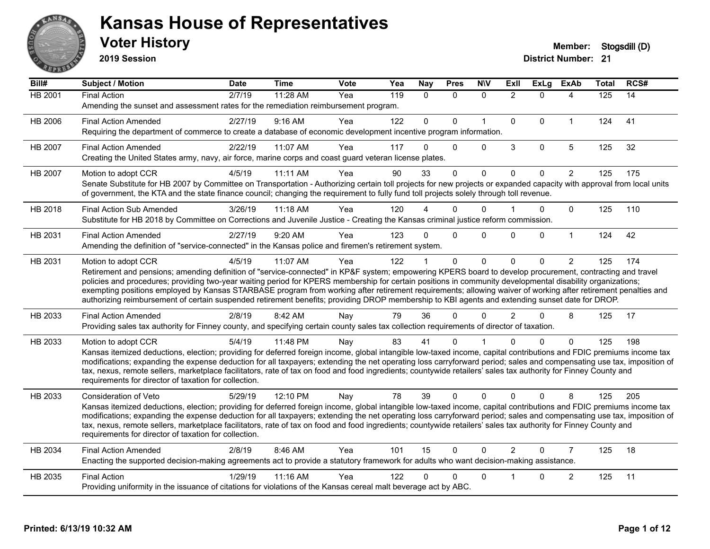

**2019 Session**

| Bill#          | Subject / Motion                                                                                                                                                                                                                                                                                                                         | <b>Date</b> | <b>Time</b> | Vote | Yea | Nay          | <b>Pres</b> | <b>NIV</b>   | ExII           | ExLg         | <b>ExAb</b>    | <b>Total</b> | RCS# |
|----------------|------------------------------------------------------------------------------------------------------------------------------------------------------------------------------------------------------------------------------------------------------------------------------------------------------------------------------------------|-------------|-------------|------|-----|--------------|-------------|--------------|----------------|--------------|----------------|--------------|------|
| <b>HB 2001</b> | <b>Final Action</b>                                                                                                                                                                                                                                                                                                                      | 2/7/19      | 11:28 AM    | Yea  | 119 | $\Omega$     | $\Omega$    | $\mathbf{0}$ | $\overline{2}$ | $\Omega$     | 4              | 125          | 14   |
|                | Amending the sunset and assessment rates for the remediation reimbursement program.                                                                                                                                                                                                                                                      |             |             |      |     |              |             |              |                |              |                |              |      |
| HB 2006        | <b>Final Action Amended</b>                                                                                                                                                                                                                                                                                                              | 2/27/19     | 9:16 AM     | Yea  | 122 | $\mathbf{0}$ | $\Omega$    | $\mathbf{1}$ | $\mathbf{0}$   | $\Omega$     | $\mathbf{1}$   | 124          | 41   |
|                | Requiring the department of commerce to create a database of economic development incentive program information.                                                                                                                                                                                                                         |             |             |      |     |              |             |              |                |              |                |              |      |
| HB 2007        | <b>Final Action Amended</b>                                                                                                                                                                                                                                                                                                              | 2/22/19     | 11:07 AM    | Yea  | 117 | 0            | $\Omega$    | $\Omega$     | 3              | $\mathbf 0$  | 5              | 125          | 32   |
|                | Creating the United States army, navy, air force, marine corps and coast guard veteran license plates.                                                                                                                                                                                                                                   |             |             |      |     |              |             |              |                |              |                |              |      |
| HB 2007        | Motion to adopt CCR                                                                                                                                                                                                                                                                                                                      | 4/5/19      | 11:11 AM    | Yea  | 90  | 33           | $\Omega$    | $\mathbf 0$  | $\mathbf{0}$   | $\mathbf{0}$ | $\overline{2}$ | 125          | 175  |
|                | Senate Substitute for HB 2007 by Committee on Transportation - Authorizing certain toll projects for new projects or expanded capacity with approval from local units                                                                                                                                                                    |             |             |      |     |              |             |              |                |              |                |              |      |
|                | of government, the KTA and the state finance council; changing the requirement to fully fund toll projects solely through toll revenue.                                                                                                                                                                                                  |             |             |      |     |              |             |              |                |              |                |              |      |
| HB 2018        | <b>Final Action Sub Amended</b>                                                                                                                                                                                                                                                                                                          | 3/26/19     | $11:18$ AM  | Yea  | 120 |              | 0           | $\Omega$     |                | $\Omega$     | $\mathbf{0}$   | 125          | 110  |
|                | Substitute for HB 2018 by Committee on Corrections and Juvenile Justice - Creating the Kansas criminal justice reform commission.                                                                                                                                                                                                        |             |             |      |     |              |             |              |                |              |                |              |      |
| HB 2031        | <b>Final Action Amended</b>                                                                                                                                                                                                                                                                                                              | 2/27/19     | 9:20 AM     | Yea  | 123 | 0            | $\Omega$    | $\Omega$     | $\Omega$       | $\Omega$     | $\mathbf{1}$   | 124          | 42   |
|                | Amending the definition of "service-connected" in the Kansas police and firemen's retirement system.                                                                                                                                                                                                                                     |             |             |      |     |              |             |              |                |              |                |              |      |
| HB 2031        | Motion to adopt CCR                                                                                                                                                                                                                                                                                                                      | 4/5/19      | 11:07 AM    | Yea  | 122 |              | $\Omega$    | $\mathbf{0}$ | $\Omega$       | $\Omega$     | $\overline{2}$ | 125          | 174  |
|                | Retirement and pensions; amending definition of "service-connected" in KP&F system; empowering KPERS board to develop procurement, contracting and travel                                                                                                                                                                                |             |             |      |     |              |             |              |                |              |                |              |      |
|                | policies and procedures; providing two-year waiting period for KPERS membership for certain positions in community developmental disability organizations;<br>exempting positions employed by Kansas STARBASE program from working after retirement requirements; allowing waiver of working after retirement penalties and              |             |             |      |     |              |             |              |                |              |                |              |      |
|                | authorizing reimbursement of certain suspended retirement benefits; providing DROP membership to KBI agents and extending sunset date for DROP.                                                                                                                                                                                          |             |             |      |     |              |             |              |                |              |                |              |      |
| HB 2033        | <b>Final Action Amended</b>                                                                                                                                                                                                                                                                                                              | 2/8/19      | 8:42 AM     | Nay  | 79  | 36           | 0           | $\Omega$     | $\mathcal{P}$  | $\Omega$     | 8              | 125          | 17   |
|                | Providing sales tax authority for Finney county, and specifying certain county sales tax collection requirements of director of taxation.                                                                                                                                                                                                |             |             |      |     |              |             |              |                |              |                |              |      |
| HB 2033        | Motion to adopt CCR                                                                                                                                                                                                                                                                                                                      | 5/4/19      | 11:48 PM    | Nay  | 83  | 41           | 0           |              |                | $\Omega$     | $\mathbf{0}$   | 125          | 198  |
|                | Kansas itemized deductions, election; providing for deferred foreign income, global intangible low-taxed income, capital contributions and FDIC premiums income tax                                                                                                                                                                      |             |             |      |     |              |             |              |                |              |                |              |      |
|                | modifications; expanding the expense deduction for all taxpayers; extending the net operating loss carryforward period; sales and compensating use tax, imposition of<br>tax, nexus, remote sellers, marketplace facilitators, rate of tax on food and food ingredients; countywide retailers' sales tax authority for Finney County and |             |             |      |     |              |             |              |                |              |                |              |      |
|                | requirements for director of taxation for collection.                                                                                                                                                                                                                                                                                    |             |             |      |     |              |             |              |                |              |                |              |      |
| HB 2033        | Consideration of Veto                                                                                                                                                                                                                                                                                                                    | 5/29/19     | 12:10 PM    | Nay  | 78  | 39           | $\Omega$    | $\mathbf{0}$ | $\mathbf{0}$   | $\Omega$     | 8              | 125          | 205  |
|                | Kansas itemized deductions, election; providing for deferred foreign income, global intangible low-taxed income, capital contributions and FDIC premiums income tax                                                                                                                                                                      |             |             |      |     |              |             |              |                |              |                |              |      |
|                | modifications; expanding the expense deduction for all taxpayers; extending the net operating loss carryforward period; sales and compensating use tax, imposition of                                                                                                                                                                    |             |             |      |     |              |             |              |                |              |                |              |      |
|                | tax, nexus, remote sellers, marketplace facilitators, rate of tax on food and food ingredients; countywide retailers' sales tax authority for Finney County and                                                                                                                                                                          |             |             |      |     |              |             |              |                |              |                |              |      |
|                | requirements for director of taxation for collection.                                                                                                                                                                                                                                                                                    |             |             |      |     |              |             |              |                |              |                |              |      |
| HB 2034        | <b>Final Action Amended</b>                                                                                                                                                                                                                                                                                                              | 2/8/19      | 8:46 AM     | Yea  | 101 | 15           | $\Omega$    | $\Omega$     | $\overline{2}$ | $\Omega$     | $\overline{7}$ | 125          | 18   |
|                | Enacting the supported decision-making agreements act to provide a statutory framework for adults who want decision-making assistance.                                                                                                                                                                                                   |             |             |      |     |              |             |              |                |              |                |              |      |
| HB 2035        | <b>Final Action</b>                                                                                                                                                                                                                                                                                                                      | 1/29/19     | 11:16 AM    | Yea  | 122 | 0            | 0           | $\mathbf 0$  |                | 0            | $\overline{c}$ | 125          | 11   |
|                | Providing uniformity in the issuance of citations for violations of the Kansas cereal malt beverage act by ABC.                                                                                                                                                                                                                          |             |             |      |     |              |             |              |                |              |                |              |      |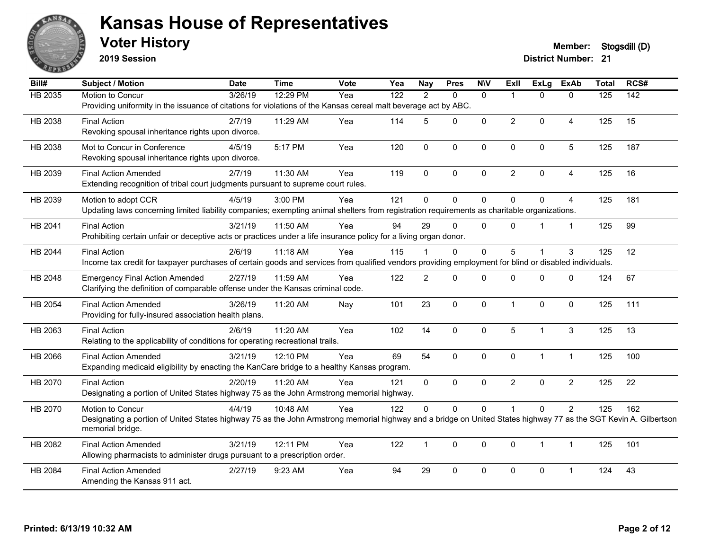

**2019 Session**

#### **Voter History Member: Stogsdill** (D)

| Bill#          | <b>Subject / Motion</b>                                                                                                                                                              | <b>Date</b> | <b>Time</b> | Vote | Yea              | <b>Nay</b>     | <b>Pres</b> | <b>NIV</b>   | <b>Exll</b>    | ExLg           | <b>ExAb</b>    | <b>Total</b> | RCS# |
|----------------|--------------------------------------------------------------------------------------------------------------------------------------------------------------------------------------|-------------|-------------|------|------------------|----------------|-------------|--------------|----------------|----------------|----------------|--------------|------|
| <b>HB 2035</b> | Motion to Concur                                                                                                                                                                     | 3/26/19     | 12:29 PM    | Yea  | $\overline{122}$ | 2              | $\Omega$    | $\mathbf{0}$ | 1              | $\Omega$       | $\mathbf{0}$   | 125          | 142  |
|                | Providing uniformity in the issuance of citations for violations of the Kansas cereal malt beverage act by ABC.                                                                      |             |             |      |                  |                |             |              |                |                |                |              |      |
| HB 2038        | <b>Final Action</b>                                                                                                                                                                  | 2/7/19      | 11:29 AM    | Yea  | 114              | 5              | $\Omega$    | $\mathbf 0$  | $\overline{2}$ | $\mathbf{0}$   | $\overline{4}$ | 125          | 15   |
|                | Revoking spousal inheritance rights upon divorce.                                                                                                                                    |             |             |      |                  |                |             |              |                |                |                |              |      |
| HB 2038        | Mot to Concur in Conference                                                                                                                                                          | 4/5/19      | 5:17 PM     | Yea  | 120              | $\mathbf 0$    | $\mathbf 0$ | $\mathbf 0$  | $\mathbf 0$    | 0              | $\overline{5}$ | 125          | 187  |
|                | Revoking spousal inheritance rights upon divorce.                                                                                                                                    |             |             |      |                  |                |             |              |                |                |                |              |      |
| HB 2039        | <b>Final Action Amended</b>                                                                                                                                                          | 2/7/19      | 11:30 AM    | Yea  | 119              | $\Omega$       | $\Omega$    | $\mathbf{0}$ | $\overline{2}$ | $\Omega$       | 4              | 125          | 16   |
|                | Extending recognition of tribal court judgments pursuant to supreme court rules.                                                                                                     |             |             |      |                  |                |             |              |                |                |                |              |      |
| HB 2039        | Motion to adopt CCR                                                                                                                                                                  | 4/5/19      | 3:00 PM     | Yea  | 121              | $\Omega$       | 0           | $\mathbf 0$  | $\Omega$       | $\Omega$       | $\overline{4}$ | 125          | 181  |
|                | Updating laws concerning limited liability companies; exempting animal shelters from registration requirements as charitable organizations.                                          |             |             |      |                  |                |             |              |                |                |                |              |      |
| HB 2041        | <b>Final Action</b>                                                                                                                                                                  | 3/21/19     | 11:50 AM    | Yea  | 94               | 29             | $\Omega$    | $\mathbf{0}$ | $\Omega$       |                | $\mathbf{1}$   | 125          | 99   |
|                | Prohibiting certain unfair or deceptive acts or practices under a life insurance policy for a living organ donor.                                                                    |             |             |      |                  |                |             |              |                |                |                |              |      |
| HB 2044        | <b>Final Action</b>                                                                                                                                                                  | 2/6/19      | 11:18 AM    | Yea  | 115              |                | $\Omega$    | $\mathbf{0}$ | 5              |                | 3              | 125          | 12   |
|                | Income tax credit for taxpayer purchases of certain goods and services from qualified vendors providing employment for blind or disabled individuals.                                |             |             |      |                  |                |             |              |                |                |                |              |      |
| HB 2048        | <b>Emergency Final Action Amended</b>                                                                                                                                                | 2/27/19     | 11:59 AM    | Yea  | 122              | $\overline{2}$ | $\Omega$    | $\Omega$     | $\Omega$       | $\mathbf 0$    | $\mathbf 0$    | 124          | 67   |
|                | Clarifying the definition of comparable offense under the Kansas criminal code.                                                                                                      |             |             |      |                  |                |             |              |                |                |                |              |      |
|                | <b>Final Action Amended</b>                                                                                                                                                          | 3/26/19     | 11:20 AM    |      | 101              | 23             | $\pmb{0}$   | $\pmb{0}$    | $\mathbf{1}$   | 0              | $\mathbf 0$    | 125          | 111  |
| HB 2054        | Providing for fully-insured association health plans.                                                                                                                                |             |             | Nay  |                  |                |             |              |                |                |                |              |      |
|                |                                                                                                                                                                                      |             |             |      |                  |                |             |              |                |                |                |              |      |
| HB 2063        | <b>Final Action</b><br>Relating to the applicability of conditions for operating recreational trails.                                                                                | 2/6/19      | 11:20 AM    | Yea  | 102              | 14             | $\Omega$    | $\mathbf 0$  | 5              | $\overline{1}$ | 3              | 125          | 13   |
|                |                                                                                                                                                                                      |             |             |      |                  |                |             |              |                |                |                |              |      |
| HB 2066        | <b>Final Action Amended</b><br>Expanding medicaid eligibility by enacting the KanCare bridge to a healthy Kansas program.                                                            | 3/21/19     | 12:10 PM    | Yea  | 69               | 54             | $\Omega$    | $\mathbf{0}$ | $\mathbf{0}$   | $\mathbf 1$    | $\mathbf{1}$   | 125          | 100  |
|                |                                                                                                                                                                                      |             |             |      |                  |                |             |              |                |                |                |              |      |
| HB 2070        | <b>Final Action</b>                                                                                                                                                                  | 2/20/19     | 11:20 AM    | Yea  | 121              | $\Omega$       | $\Omega$    | $\mathbf{0}$ | $\overline{2}$ | $\Omega$       | $\overline{c}$ | 125          | 22   |
|                | Designating a portion of United States highway 75 as the John Armstrong memorial highway.                                                                                            |             |             |      |                  |                |             |              |                |                |                |              |      |
| HB 2070        | Motion to Concur                                                                                                                                                                     | 4/4/19      | 10:48 AM    | Yea  | 122              | $\Omega$       | 0           | $\pmb{0}$    |                | $\Omega$       | $\overline{2}$ | 125          | 162  |
|                | Designating a portion of United States highway 75 as the John Armstrong memorial highway and a bridge on United States highway 77 as the SGT Kevin A. Gilbertson<br>memorial bridge. |             |             |      |                  |                |             |              |                |                |                |              |      |
| HB 2082        | <b>Final Action Amended</b>                                                                                                                                                          | 3/21/19     | 12:11 PM    | Yea  | 122              | $\mathbf{1}$   | $\Omega$    | $\mathbf{0}$ | $\mathbf{0}$   | $\mathbf 1$    | $\mathbf{1}$   | 125          | 101  |
|                | Allowing pharmacists to administer drugs pursuant to a prescription order.                                                                                                           |             |             |      |                  |                |             |              |                |                |                |              |      |
| HB 2084        | <b>Final Action Amended</b>                                                                                                                                                          | 2/27/19     | 9:23 AM     | Yea  | 94               | 29             | $\Omega$    | $\mathbf{0}$ | 0              | $\Omega$       |                | 124          | 43   |
|                | Amending the Kansas 911 act.                                                                                                                                                         |             |             |      |                  |                |             |              |                |                |                |              |      |
|                |                                                                                                                                                                                      |             |             |      |                  |                |             |              |                |                |                |              |      |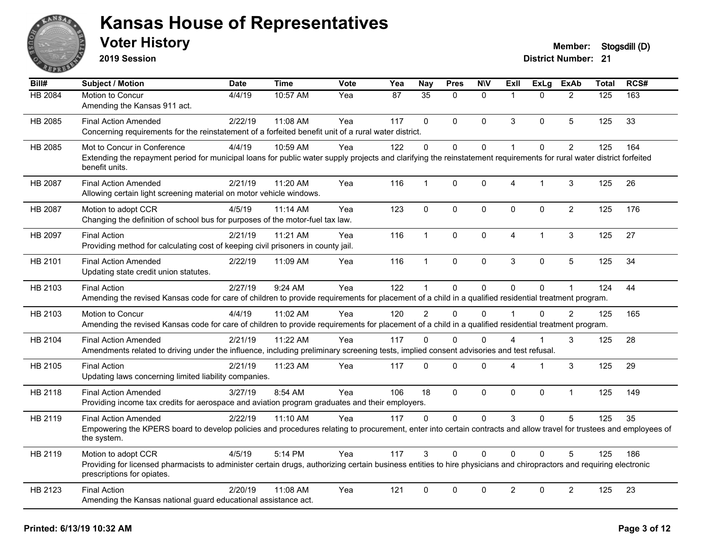

**2019 Session**

| Bill#          | Subject / Motion                                                                                                                                                                                  | <b>Date</b> | <b>Time</b> | Vote | Yea | <b>Nay</b>    | <b>Pres</b>  | <b>N\V</b>   | Exll           | <b>ExLg</b> | <b>ExAb</b>    | <b>Total</b> | RCS# |
|----------------|---------------------------------------------------------------------------------------------------------------------------------------------------------------------------------------------------|-------------|-------------|------|-----|---------------|--------------|--------------|----------------|-------------|----------------|--------------|------|
| <b>HB 2084</b> | Motion to Concur                                                                                                                                                                                  | 4/4/19      | 10:57 AM    | Yea  | 87  | 35            | $\Omega$     | $\Omega$     | $\overline{1}$ | $\Omega$    | $\overline{2}$ | 125          | 163  |
|                | Amending the Kansas 911 act.                                                                                                                                                                      |             |             |      |     |               |              |              |                |             |                |              |      |
| HB 2085        | <b>Final Action Amended</b>                                                                                                                                                                       | 2/22/19     | 11:08 AM    | Yea  | 117 | $\Omega$      | $\mathbf{0}$ | $\mathbf{0}$ | 3              | 0           | 5              | 125          | 33   |
|                | Concerning requirements for the reinstatement of a forfeited benefit unit of a rural water district.                                                                                              |             |             |      |     |               |              |              |                |             |                |              |      |
| HB 2085        | Mot to Concur in Conference                                                                                                                                                                       | 4/4/19      | 10:59 AM    | Yea  | 122 | $\mathbf 0$   | 0            | $\mathbf 0$  | $\overline{1}$ | 0           | $\overline{2}$ | 125          | 164  |
|                | Extending the repayment period for municipal loans for public water supply projects and clarifying the reinstatement requirements for rural water district forfeited<br>benefit units.            |             |             |      |     |               |              |              |                |             |                |              |      |
| HB 2087        | <b>Final Action Amended</b>                                                                                                                                                                       | 2/21/19     | 11:20 AM    | Yea  | 116 | $\mathbf{1}$  | $\mathbf 0$  | $\mathbf{0}$ | $\overline{4}$ | 1           | 3              | 125          | 26   |
|                | Allowing certain light screening material on motor vehicle windows.                                                                                                                               |             |             |      |     |               |              |              |                |             |                |              |      |
| HB 2087        | Motion to adopt CCR                                                                                                                                                                               | 4/5/19      | 11:14 AM    | Yea  | 123 | $\mathbf 0$   | 0            | $\mathbf 0$  | $\mathbf{0}$   | $\mathbf 0$ | $\overline{a}$ | 125          | 176  |
|                | Changing the definition of school bus for purposes of the motor-fuel tax law.                                                                                                                     |             |             |      |     |               |              |              |                |             |                |              |      |
| HB 2097        | <b>Final Action</b>                                                                                                                                                                               | 2/21/19     | 11:21 AM    | Yea  | 116 | $\mathbf{1}$  | 0            | $\mathbf 0$  | $\overline{4}$ | 1           | 3              | 125          | 27   |
|                | Providing method for calculating cost of keeping civil prisoners in county jail.                                                                                                                  |             |             |      |     |               |              |              |                |             |                |              |      |
| HB 2101        | <b>Final Action Amended</b>                                                                                                                                                                       | 2/22/19     | 11:09 AM    | Yea  | 116 | $\mathbf{1}$  | $\mathbf 0$  | $\mathbf 0$  | $\mathbf{3}$   | 0           | 5              | 125          | 34   |
|                | Updating state credit union statutes.                                                                                                                                                             |             |             |      |     |               |              |              |                |             |                |              |      |
| HB 2103        | <b>Final Action</b>                                                                                                                                                                               | 2/27/19     | 9:24 AM     | Yea  | 122 | $\mathbf{1}$  | 0            | $\mathbf 0$  | $\Omega$       | 0           | 1              | 124          | 44   |
|                | Amending the revised Kansas code for care of children to provide requirements for placement of a child in a qualified residential treatment program.                                              |             |             |      |     |               |              |              |                |             |                |              |      |
| HB 2103        | Motion to Concur                                                                                                                                                                                  | 4/4/19      | 11:02 AM    | Yea  | 120 | $\mathcal{P}$ | $\Omega$     | $\Omega$     | $\overline{1}$ | $\Omega$    | $\mathcal{P}$  | 125          | 165  |
|                | Amending the revised Kansas code for care of children to provide requirements for placement of a child in a qualified residential treatment program.                                              |             |             |      |     |               |              |              |                |             |                |              |      |
| HB 2104        | <b>Final Action Amended</b>                                                                                                                                                                       | 2/21/19     | 11:22 AM    | Yea  | 117 | $\Omega$      | $\Omega$     | $\Omega$     | Δ              | 1           | 3              | 125          | 28   |
|                | Amendments related to driving under the influence, including preliminary screening tests, implied consent advisories and test refusal.                                                            |             |             |      |     |               |              |              |                |             |                |              |      |
| HB 2105        | <b>Final Action</b>                                                                                                                                                                               | 2/21/19     | 11:23 AM    | Yea  | 117 | $\Omega$      | $\mathbf{0}$ | $\Omega$     | 4              | 1           | 3              | 125          | 29   |
|                | Updating laws concerning limited liability companies.                                                                                                                                             |             |             |      |     |               |              |              |                |             |                |              |      |
| HB 2118        | <b>Final Action Amended</b>                                                                                                                                                                       | 3/27/19     | 8:54 AM     | Yea  | 106 | 18            | $\mathbf 0$  | $\mathbf 0$  | $\mathbf 0$    | 0           | 1              | 125          | 149  |
|                | Providing income tax credits for aerospace and aviation program graduates and their employers.                                                                                                    |             |             |      |     |               |              |              |                |             |                |              |      |
| HB 2119        | <b>Final Action Amended</b>                                                                                                                                                                       | 2/22/19     | 11:10 AM    | Yea  | 117 | $\mathbf{0}$  | $\Omega$     | $\Omega$     | 3              | $\Omega$    | 5              | 125          | 35   |
|                | Empowering the KPERS board to develop policies and procedures relating to procurement, enter into certain contracts and allow travel for trustees and employees of<br>the system.                 |             |             |      |     |               |              |              |                |             |                |              |      |
| HB 2119        | Motion to adopt CCR                                                                                                                                                                               | 4/5/19      | 5:14 PM     | Yea  | 117 | 3             | $\mathbf{0}$ | $\Omega$     | $\Omega$       | 0           | 5              | 125          | 186  |
|                | Providing for licensed pharmacists to administer certain drugs, authorizing certain business entities to hire physicians and chiropractors and requiring electronic<br>prescriptions for opiates. |             |             |      |     |               |              |              |                |             |                |              |      |
| HB 2123        | <b>Final Action</b>                                                                                                                                                                               | 2/20/19     | 11:08 AM    | Yea  | 121 | $\mathbf 0$   | 0            | 0            | $\overline{2}$ | 0           | $\overline{2}$ | 125          | 23   |
|                | Amending the Kansas national guard educational assistance act.                                                                                                                                    |             |             |      |     |               |              |              |                |             |                |              |      |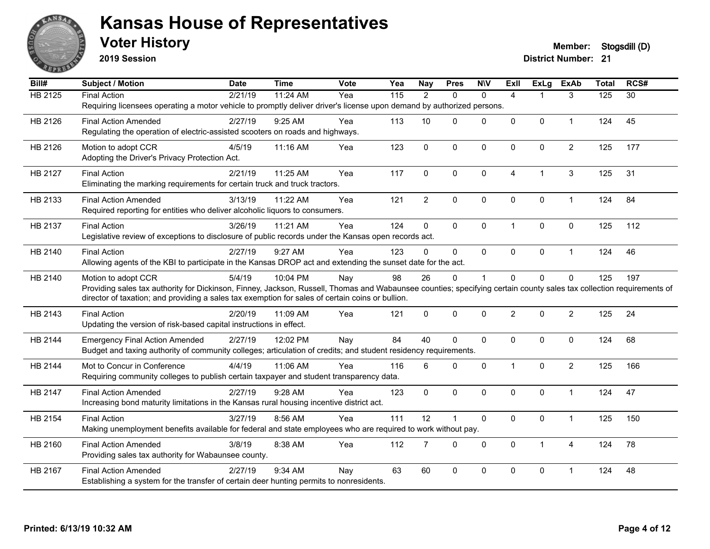

**2019 Session**

| Bill#          | <b>Subject / Motion</b>                                                                                                                                              | <b>Date</b> | <b>Time</b> | Vote | Yea               | <b>Nay</b>     | <b>Pres</b>  | <b>NIV</b>   | <b>ExII</b>    | <b>ExLg</b>    | <b>ExAb</b>    | <b>Total</b> | RCS#            |
|----------------|----------------------------------------------------------------------------------------------------------------------------------------------------------------------|-------------|-------------|------|-------------------|----------------|--------------|--------------|----------------|----------------|----------------|--------------|-----------------|
| <b>HB 2125</b> | <b>Final Action</b><br>Requiring licensees operating a motor vehicle to promptly deliver driver's license upon demand by authorized persons.                         | 2/21/19     | 11:24 AM    | Yea  | $\frac{115}{115}$ | $\overline{2}$ | $\Omega$     | $\mathbf{0}$ | 4              | 1              | 3              | 125          | $\overline{30}$ |
|                |                                                                                                                                                                      |             |             |      |                   |                |              |              |                |                |                |              |                 |
| HB 2126        | <b>Final Action Amended</b>                                                                                                                                          | 2/27/19     | 9:25 AM     | Yea  | 113               | 10             | $\Omega$     | $\mathbf 0$  | 0              | 0              | $\mathbf{1}$   | 124          | 45              |
|                | Regulating the operation of electric-assisted scooters on roads and highways.                                                                                        |             |             |      |                   |                |              |              |                |                |                |              |                 |
| HB 2126        | Motion to adopt CCR                                                                                                                                                  | 4/5/19      | 11:16 AM    | Yea  | 123               | $\mathbf 0$    | $\mathbf 0$  | $\mathbf 0$  | $\Omega$       | 0              | $\overline{2}$ | 125          | 177             |
|                | Adopting the Driver's Privacy Protection Act.                                                                                                                        |             |             |      |                   |                |              |              |                |                |                |              |                 |
| HB 2127        | <b>Final Action</b>                                                                                                                                                  | 2/21/19     | 11:25 AM    | Yea  | 117               | 0              | $\Omega$     | $\mathbf 0$  | 4              | $\overline{1}$ | 3              | 125          | 31              |
|                | Eliminating the marking requirements for certain truck and truck tractors.                                                                                           |             |             |      |                   |                |              |              |                |                |                |              |                 |
| HB 2133        | <b>Final Action Amended</b>                                                                                                                                          | 3/13/19     | 11:22 AM    | Yea  | 121               | $\overline{2}$ | $\mathbf 0$  | $\pmb{0}$    | 0              | 0              | $\mathbf{1}$   | 124          | 84              |
|                | Required reporting for entities who deliver alcoholic liquors to consumers.                                                                                          |             |             |      |                   |                |              |              |                |                |                |              |                 |
| HB 2137        | <b>Final Action</b>                                                                                                                                                  | 3/26/19     | 11:21 AM    | Yea  | 124               | 0              | $\mathbf{0}$ | $\mathbf 0$  | $\overline{1}$ | $\Omega$       | 0              | 125          | 112             |
|                | Legislative review of exceptions to disclosure of public records under the Kansas open records act.                                                                  |             |             |      |                   |                |              |              |                |                |                |              |                 |
| HB 2140        | <b>Final Action</b>                                                                                                                                                  | 2/27/19     | 9:27 AM     | Yea  | 123               | 0              | 0            | $\mathbf{0}$ | $\Omega$       | 0              | $\mathbf{1}$   | 124          | 46              |
|                | Allowing agents of the KBI to participate in the Kansas DROP act and extending the sunset date for the act.                                                          |             |             |      |                   |                |              |              |                |                |                |              |                 |
| HB 2140        | Motion to adopt CCR                                                                                                                                                  | 5/4/19      | 10:04 PM    | Nay  | 98                | 26             | 0            | $\mathbf 1$  | $\Omega$       | 0              | 0              | 125          | 197             |
|                | Providing sales tax authority for Dickinson, Finney, Jackson, Russell, Thomas and Wabaunsee counties; specifying certain county sales tax collection requirements of |             |             |      |                   |                |              |              |                |                |                |              |                 |
|                | director of taxation; and providing a sales tax exemption for sales of certain coins or bullion.                                                                     |             |             |      |                   |                |              |              |                |                |                |              |                 |
| HB 2143        | <b>Final Action</b>                                                                                                                                                  | 2/20/19     | 11:09 AM    | Yea  | 121               | 0              | $\mathbf{0}$ | $\mathbf 0$  | $\overline{2}$ | $\Omega$       | $\overline{2}$ | 125          | 24              |
|                | Updating the version of risk-based capital instructions in effect.                                                                                                   |             |             |      |                   |                |              |              |                |                |                |              |                 |
| HB 2144        | <b>Emergency Final Action Amended</b>                                                                                                                                | 2/27/19     | 12:02 PM    | Nay  | 84                | 40             | $\Omega$     | $\mathbf 0$  | 0              | 0              | 0              | 124          | 68              |
|                | Budget and taxing authority of community colleges; articulation of credits; and student residency requirements.                                                      |             |             |      |                   |                |              |              |                |                |                |              |                 |
| HB 2144        | Mot to Concur in Conference                                                                                                                                          | 4/4/19      | 11:06 AM    | Yea  | 116               | 6              | 0            | $\mathbf 0$  | $\mathbf{1}$   | 0              | $\overline{c}$ | 125          | 166             |
|                | Requiring community colleges to publish certain taxpayer and student transparency data.                                                                              |             |             |      |                   |                |              |              |                |                |                |              |                 |
| HB 2147        | <b>Final Action Amended</b>                                                                                                                                          | 2/27/19     | 9:28 AM     | Yea  | 123               | 0              | $\mathbf{0}$ | $\mathbf{0}$ | $\Omega$       | $\Omega$       | $\mathbf{1}$   | 124          | 47              |
|                | Increasing bond maturity limitations in the Kansas rural housing incentive district act.                                                                             |             |             |      |                   |                |              |              |                |                |                |              |                 |
| HB 2154        | <b>Final Action</b>                                                                                                                                                  | 3/27/19     | 8:56 AM     | Yea  | 111               | 12             | 1            | $\mathbf 0$  | 0              | 0              | $\mathbf{1}$   | 125          | 150             |
|                | Making unemployment benefits available for federal and state employees who are required to work without pay.                                                         |             |             |      |                   |                |              |              |                |                |                |              |                 |
| HB 2160        | <b>Final Action Amended</b>                                                                                                                                          | 3/8/19      | 8:38 AM     | Yea  | 112               | $\overline{7}$ | 0            | $\mathbf 0$  | $\mathbf 0$    | $\mathbf{1}$   | $\overline{4}$ | 124          | 78              |
|                | Providing sales tax authority for Wabaunsee county.                                                                                                                  |             |             |      |                   |                |              |              |                |                |                |              |                 |
| HB 2167        | <b>Final Action Amended</b>                                                                                                                                          | 2/27/19     | 9:34 AM     | Nay  | 63                | 60             | 0            | $\mathbf 0$  | $\Omega$       | 0              | -1             | 124          | 48              |
|                | Establishing a system for the transfer of certain deer hunting permits to nonresidents.                                                                              |             |             |      |                   |                |              |              |                |                |                |              |                 |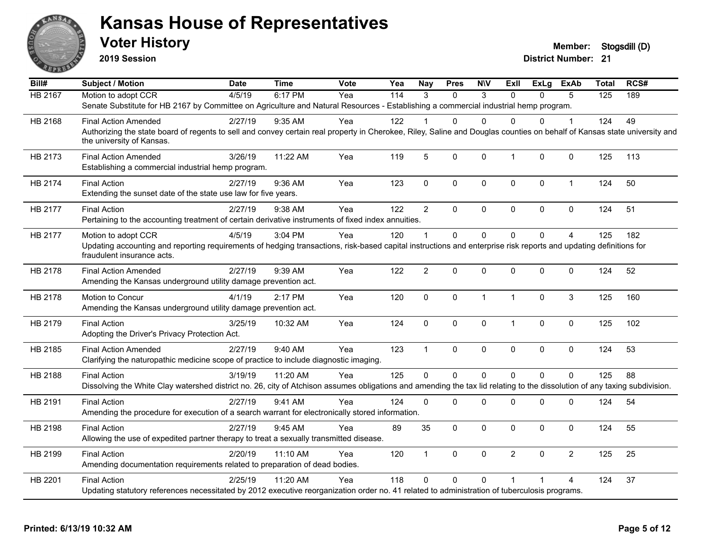

**2019 Session**

| Bill#          | <b>Subject / Motion</b>                                                                                                                                                                               | <b>Date</b> | <b>Time</b> | <b>Vote</b> | Yea | <b>Nay</b>              | <b>Pres</b>    | <b>NIV</b>    | Exll           | <b>ExLg</b> | <b>ExAb</b>    | <b>Total</b> | RCS# |
|----------------|-------------------------------------------------------------------------------------------------------------------------------------------------------------------------------------------------------|-------------|-------------|-------------|-----|-------------------------|----------------|---------------|----------------|-------------|----------------|--------------|------|
| <b>HB 2167</b> | Motion to adopt CCR                                                                                                                                                                                   | 4/5/19      | 6:17 PM     | Yea         | 114 | $\mathcal{R}$           | $\Omega$       | $\mathcal{S}$ | $\Omega$       | $\Omega$    | 5              | 125          | 189  |
|                | Senate Substitute for HB 2167 by Committee on Agriculture and Natural Resources - Establishing a commercial industrial hemp program.                                                                  |             |             |             |     |                         |                |               |                |             |                |              |      |
| HB 2168        | <b>Final Action Amended</b>                                                                                                                                                                           | 2/27/19     | $9:35$ AM   | Yea         | 122 |                         | 0              | $\Omega$      | $\Omega$       | $\Omega$    | 1              | 124          | 49   |
|                | Authorizing the state board of regents to sell and convey certain real property in Cherokee, Riley, Saline and Douglas counties on behalf of Kansas state university and<br>the university of Kansas. |             |             |             |     |                         |                |               |                |             |                |              |      |
| HB 2173        | <b>Final Action Amended</b><br>Establishing a commercial industrial hemp program.                                                                                                                     | 3/26/19     | 11:22 AM    | Yea         | 119 | 5                       | 0              | $\mathbf 0$   | $\mathbf{1}$   | $\Omega$    | $\mathbf 0$    | 125          | 113  |
| HB 2174        | <b>Final Action</b><br>Extending the sunset date of the state use law for five years.                                                                                                                 | 2/27/19     | 9:36 AM     | Yea         | 123 | $\mathbf 0$             | 0              | $\mathbf 0$   | $\mathbf 0$    | $\mathbf 0$ | $\mathbf{1}$   | 124          | 50   |
| HB 2177        | <b>Final Action</b>                                                                                                                                                                                   | 2/27/19     | 9:38 AM     | Yea         | 122 | $\overline{2}$          | 0              | $\mathbf 0$   | $\mathbf 0$    | $\Omega$    | $\mathbf 0$    | 124          | 51   |
|                | Pertaining to the accounting treatment of certain derivative instruments of fixed index annuities.                                                                                                    |             |             |             |     |                         |                |               |                |             |                |              |      |
| HB 2177        | Motion to adopt CCR                                                                                                                                                                                   | 4/5/19      | 3:04 PM     | Yea         | 120 | $\overline{\mathbf{1}}$ | $\Omega$       | $\mathbf{0}$  | $\mathbf{0}$   | $\Omega$    | $\overline{4}$ | 125          | 182  |
|                | Updating accounting and reporting requirements of hedging transactions, risk-based capital instructions and enterprise risk reports and updating definitions for<br>fraudulent insurance acts.        |             |             |             |     |                         |                |               |                |             |                |              |      |
| HB 2178        | <b>Final Action Amended</b><br>Amending the Kansas underground utility damage prevention act.                                                                                                         | 2/27/19     | 9:39 AM     | Yea         | 122 | $\overline{2}$          | 0              | $\mathbf 0$   | $\Omega$       | $\Omega$    | $\mathbf 0$    | 124          | 52   |
| HB 2178        | Motion to Concur                                                                                                                                                                                      | 4/1/19      | 2:17 PM     | Yea         | 120 | $\mathbf{0}$            | 0              | $\mathbf{1}$  | $\overline{1}$ | $\Omega$    | 3              | 125          | 160  |
|                | Amending the Kansas underground utility damage prevention act.                                                                                                                                        |             |             |             |     |                         |                |               |                |             |                |              |      |
| HB 2179        | <b>Final Action</b>                                                                                                                                                                                   | 3/25/19     | 10:32 AM    | Yea         | 124 | $\mathsf 0$             | 0              | $\mathbf 0$   | $\mathbf{1}$   | 0           | $\mathbf 0$    | 125          | 102  |
|                | Adopting the Driver's Privacy Protection Act.                                                                                                                                                         |             |             |             |     |                         |                |               |                |             |                |              |      |
| HB 2185        | <b>Final Action Amended</b>                                                                                                                                                                           | 2/27/19     | 9:40 AM     | Yea         | 123 | $\overline{1}$          | 0              | $\mathbf 0$   | $\mathbf 0$    | 0           | $\mathbf 0$    | 124          | 53   |
|                | Clarifying the naturopathic medicine scope of practice to include diagnostic imaging.                                                                                                                 |             |             |             |     |                         |                |               |                |             |                |              |      |
| HB 2188        | <b>Final Action</b>                                                                                                                                                                                   | 3/19/19     | 11:20 AM    | Yea         | 125 | $\Omega$                | $\overline{0}$ | $\mathbf 0$   | $\Omega$       | $\Omega$    | $\Omega$       | 125          | 88   |
|                | Dissolving the White Clay watershed district no. 26, city of Atchison assumes obligations and amending the tax lid relating to the dissolution of any taxing subdivision.                             |             |             |             |     |                         |                |               |                |             |                |              |      |
| HB 2191        | <b>Final Action</b>                                                                                                                                                                                   | 2/27/19     | 9:41 AM     | Yea         | 124 | $\Omega$                | $\Omega$       | $\Omega$      | $\mathbf 0$    | 0           | 0              | 124          | 54   |
|                | Amending the procedure for execution of a search warrant for electronically stored information.                                                                                                       |             |             |             |     |                         |                |               |                |             |                |              |      |
| HB 2198        | <b>Final Action</b>                                                                                                                                                                                   | 2/27/19     | 9:45 AM     | Yea         | 89  | 35                      | $\Omega$       | $\mathbf{0}$  | $\Omega$       | $\Omega$    | $\mathbf{0}$   | 124          | 55   |
|                | Allowing the use of expedited partner therapy to treat a sexually transmitted disease.                                                                                                                |             |             |             |     |                         |                |               |                |             |                |              |      |
| HB 2199        | <b>Final Action</b>                                                                                                                                                                                   | 2/20/19     | 11:10 AM    | Yea         | 120 | $\mathbf{1}$            | 0              | $\pmb{0}$     | $\overline{2}$ | $\mathbf 0$ | $\overline{2}$ | 125          | 25   |
|                | Amending documentation requirements related to preparation of dead bodies.                                                                                                                            |             |             |             |     |                         |                |               |                |             |                |              |      |
| HB 2201        | <b>Final Action</b>                                                                                                                                                                                   | 2/25/19     | 11:20 AM    | Yea         | 118 | $\Omega$                | $\Omega$       | $\Omega$      |                |             | 4              | 124          | 37   |
|                | Updating statutory references necessitated by 2012 executive reorganization order no. 41 related to administration of tuberculosis programs.                                                          |             |             |             |     |                         |                |               |                |             |                |              |      |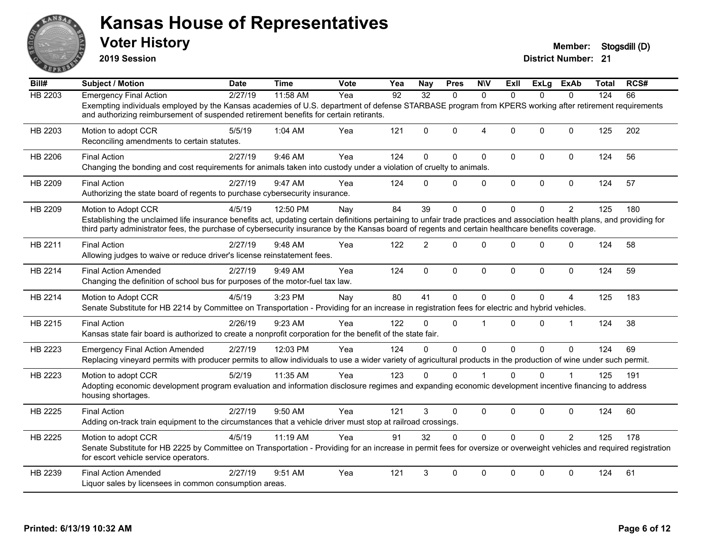

**2019 Session**

| Bill#   | <b>Subject / Motion</b>                                                                                                                                                                                                                                                                                                                              | <b>Date</b> | Time     | Vote | Yea             | Nay          | <b>Pres</b>    | <b>N\V</b>             | ExII         | ExLg         | <b>ExAb</b>    | <b>Total</b> | RCS# |
|---------|------------------------------------------------------------------------------------------------------------------------------------------------------------------------------------------------------------------------------------------------------------------------------------------------------------------------------------------------------|-------------|----------|------|-----------------|--------------|----------------|------------------------|--------------|--------------|----------------|--------------|------|
| HB 2203 | <b>Emergency Final Action</b>                                                                                                                                                                                                                                                                                                                        | 2/27/19     | 11:58 AM | Yea  | $\overline{92}$ | 32           | $\Omega$       | $\Omega$               | $\Omega$     | <sup>n</sup> | $\Omega$       | 124          | 66   |
|         | Exempting individuals employed by the Kansas academies of U.S. department of defense STARBASE program from KPERS working after retirement requirements<br>and authorizing reimbursement of suspended retirement benefits for certain retirants.                                                                                                      |             |          |      |                 |              |                |                        |              |              |                |              |      |
| HB 2203 | Motion to adopt CCR<br>Reconciling amendments to certain statutes.                                                                                                                                                                                                                                                                                   | 5/5/19      | 1:04 AM  | Yea  | 121             | $\Omega$     | 0              | $\boldsymbol{\Lambda}$ | $\mathbf 0$  | $\Omega$     | $\mathbf{0}$   | 125          | 202  |
| HB 2206 | <b>Final Action</b><br>Changing the bonding and cost requirements for animals taken into custody under a violation of cruelty to animals.                                                                                                                                                                                                            | 2/27/19     | 9:46 AM  | Yea  | 124             | $\Omega$     | $\Omega$       | $\mathbf 0$            | $\mathbf 0$  | 0            | $\mathbf 0$    | 124          | 56   |
| HB 2209 | <b>Final Action</b><br>Authorizing the state board of regents to purchase cybersecurity insurance.                                                                                                                                                                                                                                                   | 2/27/19     | 9:47 AM  | Yea  | 124             | $\Omega$     | 0              | $\mathbf{0}$           | $\mathbf{0}$ | $\Omega$     | $\mathbf 0$    | 124          | 57   |
| HB 2209 | Motion to Adopt CCR<br>Establishing the unclaimed life insurance benefits act, updating certain definitions pertaining to unfair trade practices and association health plans, and providing for<br>third party administrator fees, the purchase of cybersecurity insurance by the Kansas board of regents and certain healthcare benefits coverage. | 4/5/19      | 12:50 PM | Nav  | 84              | 39           | 0              | $\Omega$               | $\Omega$     | $\Omega$     | $\overline{2}$ | 125          | 180  |
| HB 2211 | <b>Final Action</b><br>Allowing judges to waive or reduce driver's license reinstatement fees.                                                                                                                                                                                                                                                       | 2/27/19     | 9:48 AM  | Yea  | 122             | 2            | $\Omega$       | $\Omega$               | $\Omega$     | $\Omega$     | $\mathbf{0}$   | 124          | 58   |
| HB 2214 | <b>Final Action Amended</b><br>Changing the definition of school bus for purposes of the motor-fuel tax law.                                                                                                                                                                                                                                         | 2/27/19     | 9:49 AM  | Yea  | 124             | $\mathbf{0}$ | $\Omega$       | $\mathbf{0}$           | $\mathbf{0}$ | $\Omega$     | $\mathbf{0}$   | 124          | 59   |
| HB 2214 | Motion to Adopt CCR<br>Senate Substitute for HB 2214 by Committee on Transportation - Providing for an increase in registration fees for electric and hybrid vehicles.                                                                                                                                                                               | 4/5/19      | 3:23 PM  | Nay  | 80              | 41           | 0              | $\Omega$               | $\mathbf{0}$ | 0            | 4              | 125          | 183  |
| HB 2215 | <b>Final Action</b><br>Kansas state fair board is authorized to create a nonprofit corporation for the benefit of the state fair.                                                                                                                                                                                                                    | 2/26/19     | 9:23 AM  | Yea  | 122             | $\mathbf{0}$ | 0              |                        | $\mathbf{0}$ | 0            | 1              | 124          | 38   |
| HB 2223 | <b>Emergency Final Action Amended</b><br>Replacing vineyard permits with producer permits to allow individuals to use a wider variety of agricultural products in the production of wine under such permit.                                                                                                                                          | 2/27/19     | 12:03 PM | Yea  | 124             | $\Omega$     | $\overline{0}$ | $\Omega$               | $\Omega$     | $\Omega$     | $\mathbf 0$    | 124          | 69   |
| HB 2223 | Motion to adopt CCR<br>Adopting economic development program evaluation and information disclosure regimes and expanding economic development incentive financing to address<br>housing shortages.                                                                                                                                                   | 5/2/19      | 11:35 AM | Yea  | 123             | $\Omega$     | 0              |                        | $\Omega$     | 0            |                | 125          | 191  |
| HB 2225 | <b>Final Action</b><br>Adding on-track train equipment to the circumstances that a vehicle driver must stop at railroad crossings.                                                                                                                                                                                                                   | 2/27/19     | 9:50 AM  | Yea  | 121             | 3            | 0              | $\pmb{0}$              | $\mathbf 0$  | 0            | $\mathbf 0$    | 124          | 60   |
| HB 2225 | Motion to adopt CCR<br>Senate Substitute for HB 2225 by Committee on Transportation - Providing for an increase in permit fees for oversize or overweight vehicles and required registration<br>for escort vehicle service operators.                                                                                                                | 4/5/19      | 11:19 AM | Yea  | 91              | 32           | $\Omega$       | $\mathbf{0}$           | $\Omega$     | $\Omega$     | $\overline{2}$ | 125          | 178  |
| HB 2239 | <b>Final Action Amended</b><br>Liquor sales by licensees in common consumption areas.                                                                                                                                                                                                                                                                | 2/27/19     | 9:51 AM  | Yea  | 121             | 3            | 0              | $\Omega$               | $\Omega$     | 0            | $\mathbf{0}$   | 124          | 61   |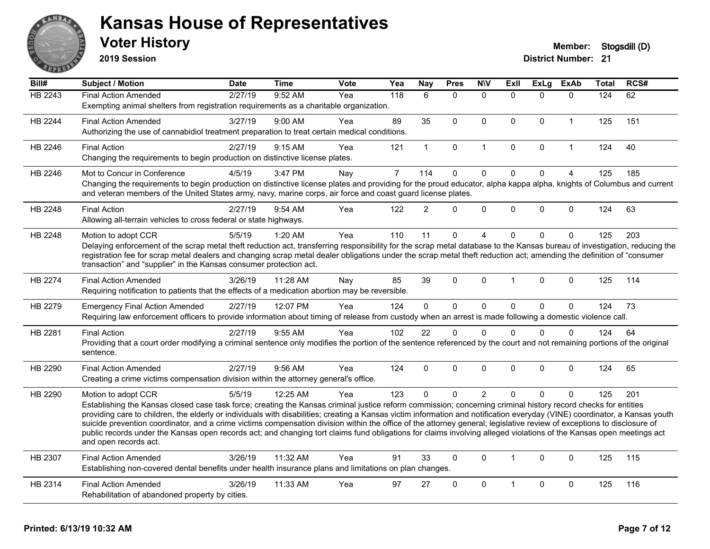

**2019 Session**

| Bill#          | Subject / Motion                                                                                                                                                                                                                                                                                                                              | <b>Date</b> | <b>Time</b> | <b>Vote</b> | Yea            | <b>Nay</b>     | <b>Pres</b>  | <b>N\V</b>   | <b>Exll</b>    | <b>ExLg</b> | <b>ExAb</b>    | <b>Total</b> | RCS# |
|----------------|-----------------------------------------------------------------------------------------------------------------------------------------------------------------------------------------------------------------------------------------------------------------------------------------------------------------------------------------------|-------------|-------------|-------------|----------------|----------------|--------------|--------------|----------------|-------------|----------------|--------------|------|
| <b>HB 2243</b> | <b>Final Action Amended</b>                                                                                                                                                                                                                                                                                                                   | 2/27/19     | 9:52 AM     | Yea         | 118            | 6              | $\Omega$     | $\mathbf{0}$ | $\Omega$       | $\Omega$    | $\mathbf{0}$   | 124          | 62   |
|                | Exempting animal shelters from registration requirements as a charitable organization.                                                                                                                                                                                                                                                        |             |             |             |                |                |              |              |                |             |                |              |      |
| HB 2244        | <b>Final Action Amended</b>                                                                                                                                                                                                                                                                                                                   | 3/27/19     | 9:00 AM     | Yea         | 89             | 35             | $\mathbf{0}$ | $\mathbf{0}$ | $\mathbf{0}$   | $\Omega$    | $\mathbf{1}$   | 125          | 151  |
|                | Authorizing the use of cannabidiol treatment preparation to treat certain medical conditions.                                                                                                                                                                                                                                                 |             |             |             |                |                |              |              |                |             |                |              |      |
| HB 2246        | <b>Final Action</b>                                                                                                                                                                                                                                                                                                                           | 2/27/19     | 9:15 AM     | Yea         | 121            | $\mathbf{1}$   | $\pmb{0}$    | $\mathbf{1}$ | $\mathbf{0}$   | 0           | $\mathbf{1}$   | 124          | 40   |
|                | Changing the requirements to begin production on distinctive license plates.                                                                                                                                                                                                                                                                  |             |             |             |                |                |              |              |                |             |                |              |      |
| HB 2246        | Mot to Concur in Conference                                                                                                                                                                                                                                                                                                                   | 4/5/19      | 3:47 PM     | Nay         | $\overline{7}$ | 114            | $\mathbf 0$  | $\mathbf 0$  | $\Omega$       | $\Omega$    | $\overline{4}$ | 125          | 185  |
|                | Changing the requirements to begin production on distinctive license plates and providing for the proud educator, alpha kappa alpha, knights of Columbus and current<br>and veteran members of the United States army, navy, marine corps, air force and coast guard license plates.                                                          |             |             |             |                |                |              |              |                |             |                |              |      |
| HB 2248        | <b>Final Action</b>                                                                                                                                                                                                                                                                                                                           | 2/27/19     | $9:54$ AM   | Yea         | 122            | $\mathcal{P}$  | $\Omega$     | $\mathbf 0$  | $\Omega$       | $\Omega$    | $\mathbf{0}$   | 124          | 63   |
|                | Allowing all-terrain vehicles to cross federal or state highways.                                                                                                                                                                                                                                                                             |             |             |             |                |                |              |              |                |             |                |              |      |
| HB 2248        | Motion to adopt CCR                                                                                                                                                                                                                                                                                                                           | 5/5/19      | 1:20 AM     | Yea         | 110            | 11             | $\mathbf 0$  | 4            | $\Omega$       | $\Omega$    | $\mathbf 0$    | 125          | 203  |
|                | Delaying enforcement of the scrap metal theft reduction act, transferring responsibility for the scrap metal database to the Kansas bureau of investigation, reducing the                                                                                                                                                                     |             |             |             |                |                |              |              |                |             |                |              |      |
|                | registration fee for scrap metal dealers and changing scrap metal dealer obligations under the scrap metal theft reduction act; amending the definition of "consumer                                                                                                                                                                          |             |             |             |                |                |              |              |                |             |                |              |      |
|                | transaction" and "supplier" in the Kansas consumer protection act.                                                                                                                                                                                                                                                                            |             |             |             |                |                |              |              |                |             |                |              |      |
| HB 2274        | <b>Final Action Amended</b>                                                                                                                                                                                                                                                                                                                   | 3/26/19     | 11:28 AM    | Nay         | 85             | 39             | $\mathbf 0$  | $\mathbf 0$  | 1              | 0           | $\mathbf 0$    | 125          | 114  |
|                | Requiring notification to patients that the effects of a medication abortion may be reversible.                                                                                                                                                                                                                                               |             |             |             |                |                |              |              |                |             |                |              |      |
| HB 2279        | <b>Emergency Final Action Amended</b>                                                                                                                                                                                                                                                                                                         | 2/27/19     | 12:07 PM    | Yea         | 124            | $\overline{0}$ | $\mathbf 0$  | $\mathbf 0$  | $\mathbf{0}$   | $\Omega$    | $\mathbf 0$    | 124          | 73   |
|                | Requiring law enforcement officers to provide information about timing of release from custody when an arrest is made following a domestic violence call.                                                                                                                                                                                     |             |             |             |                |                |              |              |                |             |                |              |      |
| HB 2281        | <b>Final Action</b>                                                                                                                                                                                                                                                                                                                           | 2/27/19     | 9:55 AM     | Yea         | 102            | 22             | $\mathbf 0$  | $\mathbf 0$  | $\Omega$       | $\Omega$    | $\mathbf 0$    | 124          | 64   |
|                | Providing that a court order modifying a criminal sentence only modifies the portion of the sentence referenced by the court and not remaining portions of the original<br>sentence.                                                                                                                                                          |             |             |             |                |                |              |              |                |             |                |              |      |
| HB 2290        | <b>Final Action Amended</b>                                                                                                                                                                                                                                                                                                                   | 2/27/19     | 9:56 AM     | Yea         | 124            | $\Omega$       | $\mathbf 0$  | $\Omega$     | $\Omega$       | $\Omega$    | $\mathbf 0$    | 124          | 65   |
|                | Creating a crime victims compensation division within the attorney general's office.                                                                                                                                                                                                                                                          |             |             |             |                |                |              |              |                |             |                |              |      |
| HB 2290        | Motion to adopt CCR                                                                                                                                                                                                                                                                                                                           | 5/5/19      | 12:25 AM    | Yea         | 123            | $\Omega$       | $\mathbf{0}$ | 2            | $\Omega$       | $\Omega$    | $\Omega$       | 125          | 201  |
|                | Establishing the Kansas closed case task force; creating the Kansas criminal justice reform commission; concerning criminal history record checks for entities                                                                                                                                                                                |             |             |             |                |                |              |              |                |             |                |              |      |
|                | providing care to children, the elderly or individuals with disabilities; creating a Kansas victim information and notification everyday (VINE) coordinator, a Kansas youth                                                                                                                                                                   |             |             |             |                |                |              |              |                |             |                |              |      |
|                | suicide prevention coordinator, and a crime victims compensation division within the office of the attorney general; legislative review of exceptions to disclosure of<br>public records under the Kansas open records act; and changing tort claims fund obligations for claims involving alleged violations of the Kansas open meetings act |             |             |             |                |                |              |              |                |             |                |              |      |
|                | and open records act.                                                                                                                                                                                                                                                                                                                         |             |             |             |                |                |              |              |                |             |                |              |      |
| HB 2307        | <b>Final Action Amended</b>                                                                                                                                                                                                                                                                                                                   | 3/26/19     | 11:32 AM    | Yea         | 91             | 33             | $\Omega$     | $\mathbf{0}$ | $\mathbf{1}$   | $\Omega$    | $\mathbf{0}$   | 125          | 115  |
|                | Establishing non-covered dental benefits under health insurance plans and limitations on plan changes.                                                                                                                                                                                                                                        |             |             |             |                |                |              |              |                |             |                |              |      |
| HB 2314        | <b>Final Action Amended</b>                                                                                                                                                                                                                                                                                                                   | 3/26/19     | 11:33 AM    | Yea         | 97             | 27             | $\mathbf{0}$ | $\Omega$     | $\overline{1}$ | $\Omega$    | $\mathbf{0}$   | 125          | 116  |
|                | Rehabilitation of abandoned property by cities.                                                                                                                                                                                                                                                                                               |             |             |             |                |                |              |              |                |             |                |              |      |
|                |                                                                                                                                                                                                                                                                                                                                               |             |             |             |                |                |              |              |                |             |                |              |      |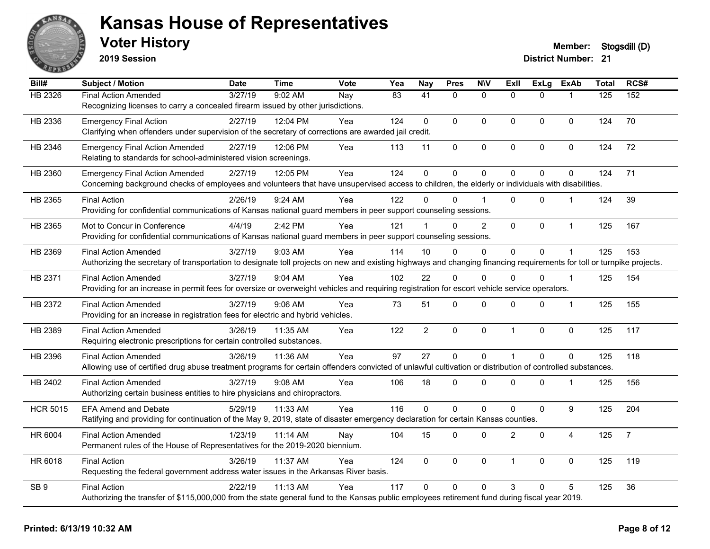

**2019 Session**

| Bill#           | <b>Subject / Motion</b>                                                                                                                                                | <b>Date</b> | <b>Time</b> | Vote | Yea | <b>Nay</b>     | <b>Pres</b>    | <b>NIV</b>     | <b>ExII</b>    | <b>ExLg</b>    | <b>ExAb</b>    | <b>Total</b> | RCS#           |
|-----------------|------------------------------------------------------------------------------------------------------------------------------------------------------------------------|-------------|-------------|------|-----|----------------|----------------|----------------|----------------|----------------|----------------|--------------|----------------|
| HB 2326         | <b>Final Action Amended</b>                                                                                                                                            | 3/27/19     | 9:02 AM     | Nay  | 83  | 41             | $\Omega$       | $\mathbf{0}$   | $\Omega$       | $\Omega$       |                | 125          | 152            |
|                 | Recognizing licenses to carry a concealed firearm issued by other jurisdictions.                                                                                       |             |             |      |     |                |                |                |                |                |                |              |                |
| HB 2336         | <b>Emergency Final Action</b>                                                                                                                                          | 2/27/19     | 12:04 PM    | Yea  | 124 | $\mathbf{0}$   | $\mathbf 0$    | $\mathbf 0$    | $\mathbf 0$    | $\Omega$       | $\mathbf 0$    | 124          | 70             |
|                 | Clarifying when offenders under supervision of the secretary of corrections are awarded jail credit.                                                                   |             |             |      |     |                |                |                |                |                |                |              |                |
| HB 2346         | <b>Emergency Final Action Amended</b>                                                                                                                                  | 2/27/19     | 12:06 PM    | Yea  | 113 | 11             | $\pmb{0}$      | $\pmb{0}$      | 0              | 0              | 0              | 124          | 72             |
|                 | Relating to standards for school-administered vision screenings.                                                                                                       |             |             |      |     |                |                |                |                |                |                |              |                |
| HB 2360         | <b>Emergency Final Action Amended</b>                                                                                                                                  | 2/27/19     | 12:05 PM    | Yea  | 124 | $\mathbf{0}$   | $\mathbf 0$    | $\mathbf 0$    | $\Omega$       | 0              | $\mathbf 0$    | 124          | 71             |
|                 | Concerning background checks of employees and volunteers that have unsupervised access to children, the elderly or individuals with disabilities.                      |             |             |      |     |                |                |                |                |                |                |              |                |
| HB 2365         | <b>Final Action</b>                                                                                                                                                    | 2/26/19     | 9:24 AM     | Yea  | 122 | 0              | $\Omega$       |                | $\Omega$       | $\Omega$       |                | 124          | 39             |
|                 | Providing for confidential communications of Kansas national guard members in peer support counseling sessions.                                                        |             |             |      |     |                |                |                |                |                |                |              |                |
| HB 2365         | Mot to Concur in Conference                                                                                                                                            | 4/4/19      | 2:42 PM     | Yea  | 121 |                | $\Omega$       | $\overline{2}$ | $\mathbf{0}$   | $\Omega$       | $\mathbf{1}$   | 125          | 167            |
|                 | Providing for confidential communications of Kansas national guard members in peer support counseling sessions.                                                        |             |             |      |     |                |                |                |                |                |                |              |                |
| HB 2369         | <b>Final Action Amended</b>                                                                                                                                            | 3/27/19     | 9:03 AM     | Yea  | 114 | 10             | $\Omega$       | $\mathbf 0$    | 0              | 0              |                | 125          | 153            |
|                 | Authorizing the secretary of transportation to designate toll projects on new and existing highways and changing financing requirements for toll or turnpike projects. |             |             |      |     |                |                |                |                |                |                |              |                |
| HB 2371         | <b>Final Action Amended</b>                                                                                                                                            | 3/27/19     | $9:04$ AM   | Yea  | 102 | 22             | $\Omega$       | $\Omega$       | $\Omega$       | $\Omega$       | $\overline{1}$ | 125          | 154            |
|                 | Providing for an increase in permit fees for oversize or overweight vehicles and requiring registration for escort vehicle service operators.                          |             |             |      |     |                |                |                |                |                |                |              |                |
| HB 2372         | <b>Final Action Amended</b>                                                                                                                                            | 3/27/19     | 9:06 AM     | Yea  | 73  | 51             | 0              | 0              | 0              | 0              | $\mathbf 1$    | 125          | 155            |
|                 | Providing for an increase in registration fees for electric and hybrid vehicles.                                                                                       |             |             |      |     |                |                |                |                |                |                |              |                |
| HB 2389         | <b>Final Action Amended</b>                                                                                                                                            | 3/26/19     | 11:35 AM    | Yea  | 122 | $\overline{2}$ | $\mathbf 0$    | $\mathbf 0$    | $\mathbf{1}$   | 0              | 0              | 125          | 117            |
|                 | Requiring electronic prescriptions for certain controlled substances.                                                                                                  |             |             |      |     |                |                |                |                |                |                |              |                |
| HB 2396         | <b>Final Action Amended</b>                                                                                                                                            | 3/26/19     | 11:36 AM    | Yea  | 97  | 27             | $\mathbf 0$    | $\mathbf 0$    | 1              | $\overline{0}$ | $\mathbf 0$    | 125          | 118            |
|                 | Allowing use of certified drug abuse treatment programs for certain offenders convicted of unlawful cultivation or distribution of controlled substances.              |             |             |      |     |                |                |                |                |                |                |              |                |
| HB 2402         | <b>Final Action Amended</b>                                                                                                                                            | 3/27/19     | $9:08$ AM   | Yea  | 106 | 18             | $\Omega$       | $\mathbf{0}$   | $\Omega$       | $\Omega$       | $\mathbf 1$    | 125          | 156            |
|                 | Authorizing certain business entities to hire physicians and chiropractors.                                                                                            |             |             |      |     |                |                |                |                |                |                |              |                |
| <b>HCR 5015</b> | <b>EFA Amend and Debate</b>                                                                                                                                            | 5/29/19     | 11:33 AM    | Yea  | 116 | 0              | $\overline{0}$ | $\pmb{0}$      | 0              | 0              | 9              | 125          | 204            |
|                 | Ratifying and providing for continuation of the May 9, 2019, state of disaster emergency declaration for certain Kansas counties.                                      |             |             |      |     |                |                |                |                |                |                |              |                |
| HR 6004         | <b>Final Action Amended</b>                                                                                                                                            | 1/23/19     | 11:14 AM    | Nay  | 104 | 15             | 0              | $\mathbf 0$    | $\overline{2}$ | 0              | 4              | 125          | $\overline{7}$ |
|                 | Permanent rules of the House of Representatives for the 2019-2020 biennium.                                                                                            |             |             |      |     |                |                |                |                |                |                |              |                |
| HR 6018         | <b>Final Action</b>                                                                                                                                                    | 3/26/19     | 11:37 AM    | Yea  | 124 | $\Omega$       | $\Omega$       | $\mathbf{0}$   | $\mathbf{1}$   | $\mathbf{0}$   | $\pmb{0}$      | 125          | 119            |
|                 | Requesting the federal government address water issues in the Arkansas River basis.                                                                                    |             |             |      |     |                |                |                |                |                |                |              |                |
| SB <sub>9</sub> | <b>Final Action</b>                                                                                                                                                    | 2/22/19     | 11:13 AM    | Yea  | 117 | $\Omega$       | $\Omega$       | $\mathbf{0}$   | 3              | $\Omega$       | 5              | 125          | 36             |
|                 | Authorizing the transfer of \$115,000,000 from the state general fund to the Kansas public employees retirement fund during fiscal year 2019.                          |             |             |      |     |                |                |                |                |                |                |              |                |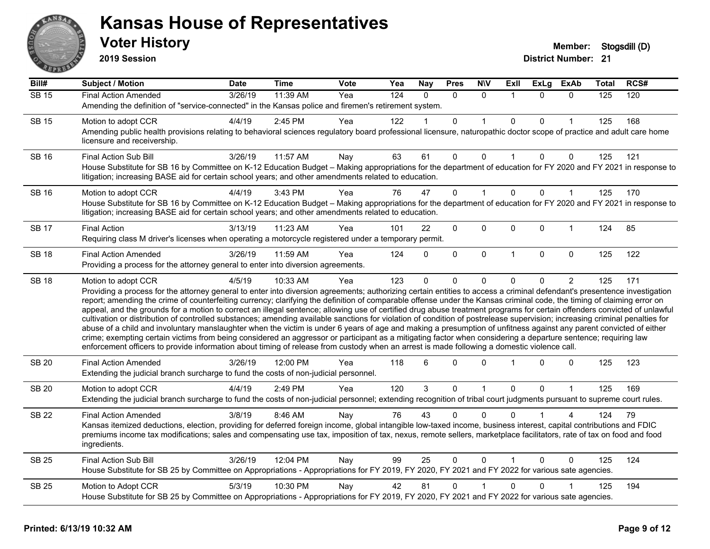

**2019 Session**

| Bill#        | <b>Subject / Motion</b>                                                                                                                                                                                                                                                                                                                                                                                                                                                                                                                                                                                                                                                                                                                                                                                                                                                                                                                                                                                                                                                                                                                                                                              | <b>Date</b> | <b>Time</b> | Vote | Yea | <b>Nay</b> | <b>Pres</b> | <b>NIV</b>   | ExII           | <b>ExLg</b>  | <b>ExAb</b>    | Total | RCS# |
|--------------|------------------------------------------------------------------------------------------------------------------------------------------------------------------------------------------------------------------------------------------------------------------------------------------------------------------------------------------------------------------------------------------------------------------------------------------------------------------------------------------------------------------------------------------------------------------------------------------------------------------------------------------------------------------------------------------------------------------------------------------------------------------------------------------------------------------------------------------------------------------------------------------------------------------------------------------------------------------------------------------------------------------------------------------------------------------------------------------------------------------------------------------------------------------------------------------------------|-------------|-------------|------|-----|------------|-------------|--------------|----------------|--------------|----------------|-------|------|
| <b>SB 15</b> | <b>Final Action Amended</b>                                                                                                                                                                                                                                                                                                                                                                                                                                                                                                                                                                                                                                                                                                                                                                                                                                                                                                                                                                                                                                                                                                                                                                          | 3/26/19     | 11:39 AM    | Yea  | 124 | $\Omega$   | $\Omega$    | $\mathbf{0}$ | $\mathbf{1}$   | $\Omega$     | $\mathbf{0}$   | 125   | 120  |
|              | Amending the definition of "service-connected" in the Kansas police and firemen's retirement system.                                                                                                                                                                                                                                                                                                                                                                                                                                                                                                                                                                                                                                                                                                                                                                                                                                                                                                                                                                                                                                                                                                 |             |             |      |     |            |             |              |                |              |                |       |      |
| <b>SB 15</b> | Motion to adopt CCR                                                                                                                                                                                                                                                                                                                                                                                                                                                                                                                                                                                                                                                                                                                                                                                                                                                                                                                                                                                                                                                                                                                                                                                  | 4/4/19      | 2:45 PM     | Yea  | 122 |            | 0           |              | $\mathbf 0$    | 0            |                | 125   | 168  |
|              | Amending public health provisions relating to behavioral sciences regulatory board professional licensure, naturopathic doctor scope of practice and adult care home<br>licensure and receivership.                                                                                                                                                                                                                                                                                                                                                                                                                                                                                                                                                                                                                                                                                                                                                                                                                                                                                                                                                                                                  |             |             |      |     |            |             |              |                |              |                |       |      |
| <b>SB 16</b> | <b>Final Action Sub Bill</b>                                                                                                                                                                                                                                                                                                                                                                                                                                                                                                                                                                                                                                                                                                                                                                                                                                                                                                                                                                                                                                                                                                                                                                         | 3/26/19     | 11:57 AM    | Nay  | 63  | 61         | 0           | $\mathbf{0}$ | $\mathbf{1}$   | $\mathbf{0}$ | $\mathbf{0}$   | 125   | 121  |
|              | House Substitute for SB 16 by Committee on K-12 Education Budget - Making appropriations for the department of education for FY 2020 and FY 2021 in response to<br>litigation; increasing BASE aid for certain school years; and other amendments related to education.                                                                                                                                                                                                                                                                                                                                                                                                                                                                                                                                                                                                                                                                                                                                                                                                                                                                                                                              |             |             |      |     |            |             |              |                |              |                |       |      |
| <b>SB 16</b> | Motion to adopt CCR                                                                                                                                                                                                                                                                                                                                                                                                                                                                                                                                                                                                                                                                                                                                                                                                                                                                                                                                                                                                                                                                                                                                                                                  | 4/4/19      | 3:43 PM     | Yea  | 76  | 47         | 0           |              | $\mathbf 0$    | $\Omega$     | $\mathbf 1$    | 125   | 170  |
|              | House Substitute for SB 16 by Committee on K-12 Education Budget - Making appropriations for the department of education for FY 2020 and FY 2021 in response to<br>litigation; increasing BASE aid for certain school years; and other amendments related to education.                                                                                                                                                                                                                                                                                                                                                                                                                                                                                                                                                                                                                                                                                                                                                                                                                                                                                                                              |             |             |      |     |            |             |              |                |              |                |       |      |
| <b>SB 17</b> | <b>Final Action</b>                                                                                                                                                                                                                                                                                                                                                                                                                                                                                                                                                                                                                                                                                                                                                                                                                                                                                                                                                                                                                                                                                                                                                                                  | 3/13/19     | 11:23 AM    | Yea  | 101 | 22         | 0           | 0            | 0              | 0            | 1              | 124   | 85   |
|              | Requiring class M driver's licenses when operating a motorcycle registered under a temporary permit.                                                                                                                                                                                                                                                                                                                                                                                                                                                                                                                                                                                                                                                                                                                                                                                                                                                                                                                                                                                                                                                                                                 |             |             |      |     |            |             |              |                |              |                |       |      |
| <b>SB 18</b> | <b>Final Action Amended</b>                                                                                                                                                                                                                                                                                                                                                                                                                                                                                                                                                                                                                                                                                                                                                                                                                                                                                                                                                                                                                                                                                                                                                                          | 3/26/19     | 11:59 AM    | Yea  | 124 | $\Omega$   | 0           | $\pmb{0}$    | $\overline{1}$ | $\Omega$     | $\mathbf 0$    | 125   | 122  |
|              | Providing a process for the attorney general to enter into diversion agreements.                                                                                                                                                                                                                                                                                                                                                                                                                                                                                                                                                                                                                                                                                                                                                                                                                                                                                                                                                                                                                                                                                                                     |             |             |      |     |            |             |              |                |              |                |       |      |
| <b>SB 18</b> | Motion to adopt CCR                                                                                                                                                                                                                                                                                                                                                                                                                                                                                                                                                                                                                                                                                                                                                                                                                                                                                                                                                                                                                                                                                                                                                                                  | 4/5/19      | 10:33 AM    | Yea  | 123 | $\Omega$   | 0           | 0            | $\mathbf 0$    | 0            | $\overline{2}$ | 125   | 171  |
|              | Providing a process for the attorney general to enter into diversion agreements; authorizing certain entities to access a criminal defendant's presentence investigation<br>report; amending the crime of counterfeiting currency; clarifying the definition of comparable offense under the Kansas criminal code, the timing of claiming error on<br>appeal, and the grounds for a motion to correct an illegal sentence; allowing use of certified drug abuse treatment programs for certain offenders convicted of unlawful<br>cultivation or distribution of controlled substances; amending available sanctions for violation of condition of postrelease supervision; increasing criminal penalties for<br>abuse of a child and involuntary manslaughter when the victim is under 6 years of age and making a presumption of unfitness against any parent convicted of either<br>crime; exempting certain victims from being considered an aggressor or participant as a mitigating factor when considering a departure sentence; requiring law<br>enforcement officers to provide information about timing of release from custody when an arrest is made following a domestic violence call. |             |             |      |     |            |             |              |                |              |                |       |      |
| <b>SB 20</b> | <b>Final Action Amended</b><br>Extending the judicial branch surcharge to fund the costs of non-judicial personnel.                                                                                                                                                                                                                                                                                                                                                                                                                                                                                                                                                                                                                                                                                                                                                                                                                                                                                                                                                                                                                                                                                  | 3/26/19     | 12:00 PM    | Yea  | 118 | 6          | 0           | $\mathbf 0$  |                | 0            | $\mathbf 0$    | 125   | 123  |
| <b>SB 20</b> | Motion to adopt CCR                                                                                                                                                                                                                                                                                                                                                                                                                                                                                                                                                                                                                                                                                                                                                                                                                                                                                                                                                                                                                                                                                                                                                                                  | 4/4/19      | 2:49 PM     | Yea  | 120 | 3          | 0           | $\mathbf 1$  | $\mathbf 0$    | $\Omega$     | $\mathbf{1}$   | 125   | 169  |
|              | Extending the judicial branch surcharge to fund the costs of non-judicial personnel; extending recognition of tribal court judgments pursuant to supreme court rules.                                                                                                                                                                                                                                                                                                                                                                                                                                                                                                                                                                                                                                                                                                                                                                                                                                                                                                                                                                                                                                |             |             |      |     |            |             |              |                |              |                |       |      |
| <b>SB 22</b> | <b>Final Action Amended</b>                                                                                                                                                                                                                                                                                                                                                                                                                                                                                                                                                                                                                                                                                                                                                                                                                                                                                                                                                                                                                                                                                                                                                                          | 3/8/19      | 8:46 AM     | Nay  | 76  | 43         | 0           | $\Omega$     | $\Omega$       |              |                | 124   | 79   |
|              | Kansas itemized deductions, election, providing for deferred foreign income, global intangible low-taxed income, business interest, capital contributions and FDIC<br>premiums income tax modifications; sales and compensating use tax, imposition of tax, nexus, remote sellers, marketplace facilitators, rate of tax on food and food<br>ingredients.                                                                                                                                                                                                                                                                                                                                                                                                                                                                                                                                                                                                                                                                                                                                                                                                                                            |             |             |      |     |            |             |              |                |              |                |       |      |
| SB 25        | Final Action Sub Bill                                                                                                                                                                                                                                                                                                                                                                                                                                                                                                                                                                                                                                                                                                                                                                                                                                                                                                                                                                                                                                                                                                                                                                                | 3/26/19     | 12:04 PM    | Nay  | 99  | 25         | 0           | $\mathbf 0$  |                | $\Omega$     | $\Omega$       | 125   | 124  |
|              | House Substitute for SB 25 by Committee on Appropriations - Appropriations for FY 2019, FY 2020, FY 2021 and FY 2022 for various sate agencies.                                                                                                                                                                                                                                                                                                                                                                                                                                                                                                                                                                                                                                                                                                                                                                                                                                                                                                                                                                                                                                                      |             |             |      |     |            |             |              |                |              |                |       |      |
| <b>SB 25</b> | Motion to Adopt CCR                                                                                                                                                                                                                                                                                                                                                                                                                                                                                                                                                                                                                                                                                                                                                                                                                                                                                                                                                                                                                                                                                                                                                                                  | 5/3/19      | 10:30 PM    | Nay  | 42  | 81         | 0           |              | $\Omega$       | 0            |                | 125   | 194  |
|              | House Substitute for SB 25 by Committee on Appropriations - Appropriations for FY 2019, FY 2020, FY 2021 and FY 2022 for various sate agencies.                                                                                                                                                                                                                                                                                                                                                                                                                                                                                                                                                                                                                                                                                                                                                                                                                                                                                                                                                                                                                                                      |             |             |      |     |            |             |              |                |              |                |       |      |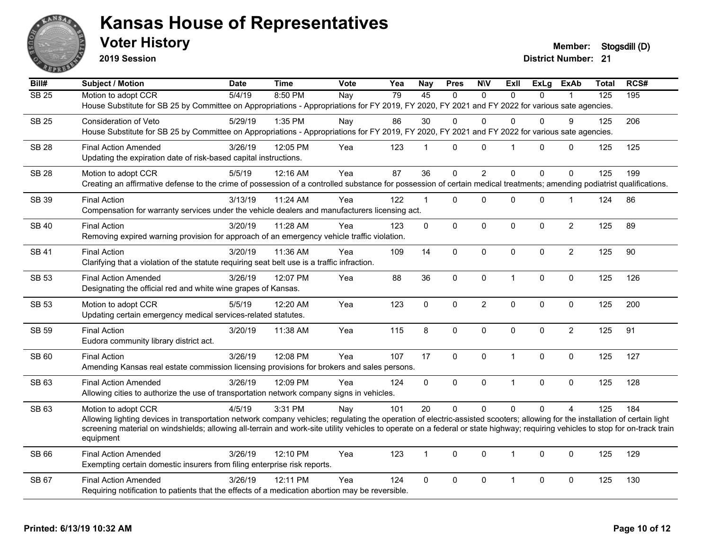

**2019 Session**

**Voter History Member: Stogsdill** (D)

| Bill#        | <b>Subject / Motion</b>                                                                                                                                                                     | <b>Date</b> | <b>Time</b> | Vote | Yea | <b>Nay</b>   | <b>Pres</b> | <b>NIV</b>     | <b>Exll</b>             | <b>ExLg</b> | <b>ExAb</b>    | <b>Total</b>     | RCS# |
|--------------|---------------------------------------------------------------------------------------------------------------------------------------------------------------------------------------------|-------------|-------------|------|-----|--------------|-------------|----------------|-------------------------|-------------|----------------|------------------|------|
| <b>SB 25</b> | Motion to adopt CCR                                                                                                                                                                         | 5/4/19      | 8:50 PM     | Nay  | 79  | 45           | $\Omega$    | $\Omega$       | $\Omega$                | $\Omega$    |                | $\overline{125}$ | 195  |
|              | House Substitute for SB 25 by Committee on Appropriations - Appropriations for FY 2019, FY 2020, FY 2021 and FY 2022 for various sate agencies.                                             |             |             |      |     |              |             |                |                         |             |                |                  |      |
| <b>SB 25</b> | Consideration of Veto                                                                                                                                                                       | 5/29/19     | 1:35 PM     | Nay  | 86  | 30           | $\Omega$    | $\Omega$       | 0                       | 0           | 9              | 125              | 206  |
|              | House Substitute for SB 25 by Committee on Appropriations - Appropriations for FY 2019, FY 2020, FY 2021 and FY 2022 for various sate agencies.                                             |             |             |      |     |              |             |                |                         |             |                |                  |      |
| <b>SB 28</b> | <b>Final Action Amended</b>                                                                                                                                                                 | 3/26/19     | 12:05 PM    | Yea  | 123 | $\mathbf{1}$ | $\Omega$    | $\Omega$       | $\overline{\mathbf{1}}$ | $\Omega$    | $\mathbf{0}$   | 125              | 125  |
|              | Updating the expiration date of risk-based capital instructions.                                                                                                                            |             |             |      |     |              |             |                |                         |             |                |                  |      |
| <b>SB 28</b> | Motion to adopt CCR                                                                                                                                                                         | 5/5/19      | 12:16 AM    | Yea  | 87  | 36           | 0           | $\overline{2}$ | $\Omega$                | $\mathbf 0$ | $\mathbf{0}$   | 125              | 199  |
|              | Creating an affirmative defense to the crime of possession of a controlled substance for possession of certain medical treatments; amending podiatrist qualifications.                      |             |             |      |     |              |             |                |                         |             |                |                  |      |
|              |                                                                                                                                                                                             |             |             |      |     |              |             |                |                         |             |                |                  |      |
| <b>SB 39</b> | <b>Final Action</b><br>Compensation for warranty services under the vehicle dealers and manufacturers licensing act.                                                                        | 3/13/19     | 11:24 AM    | Yea  | 122 | $\mathbf{1}$ | $\Omega$    | 0              | 0                       | 0           | $\mathbf{1}$   | 124              | 86   |
|              |                                                                                                                                                                                             |             |             |      |     |              |             |                |                         |             |                |                  |      |
| <b>SB 40</b> | <b>Final Action</b>                                                                                                                                                                         | 3/20/19     | 11:28 AM    | Yea  | 123 | $\mathbf 0$  | $\mathbf 0$ | $\mathbf 0$    | $\mathbf 0$             | $\mathbf 0$ | $\overline{2}$ | 125              | 89   |
|              | Removing expired warning provision for approach of an emergency vehicle traffic violation.                                                                                                  |             |             |      |     |              |             |                |                         |             |                |                  |      |
| <b>SB 41</b> | <b>Final Action</b>                                                                                                                                                                         | 3/20/19     | 11:36 AM    | Yea  | 109 | 14           | $\Omega$    | $\mathbf 0$    | $\Omega$                | $\Omega$    | $\overline{2}$ | 125              | 90   |
|              | Clarifying that a violation of the statute requiring seat belt use is a traffic infraction.                                                                                                 |             |             |      |     |              |             |                |                         |             |                |                  |      |
| <b>SB 53</b> | <b>Final Action Amended</b>                                                                                                                                                                 | 3/26/19     | 12:07 PM    | Yea  | 88  | 36           | 0           | $\mathbf 0$    | $\overline{1}$          | 0           | $\mathbf 0$    | 125              | 126  |
|              | Designating the official red and white wine grapes of Kansas.                                                                                                                               |             |             |      |     |              |             |                |                         |             |                |                  |      |
| <b>SB 53</b> | Motion to adopt CCR                                                                                                                                                                         | 5/5/19      | 12:20 AM    | Yea  | 123 | 0            | 0           | $\overline{c}$ | $\mathbf 0$             | 0           | $\mathbf 0$    | 125              | 200  |
|              | Updating certain emergency medical services-related statutes.                                                                                                                               |             |             |      |     |              |             |                |                         |             |                |                  |      |
| <b>SB 59</b> | <b>Final Action</b>                                                                                                                                                                         | 3/20/19     | 11:38 AM    | Yea  | 115 | 8            | $\Omega$    | $\Omega$       | $\mathbf{0}$            | $\Omega$    | $\overline{2}$ | 125              | 91   |
|              | Eudora community library district act.                                                                                                                                                      |             |             |      |     |              |             |                |                         |             |                |                  |      |
|              |                                                                                                                                                                                             |             |             |      |     |              |             |                |                         |             |                |                  |      |
| <b>SB 60</b> | <b>Final Action</b><br>Amending Kansas real estate commission licensing provisions for brokers and sales persons.                                                                           | 3/26/19     | 12:08 PM    | Yea  | 107 | 17           | 0           | $\mathbf 0$    | $\overline{1}$          | 0           | $\mathbf 0$    | 125              | 127  |
|              |                                                                                                                                                                                             |             |             |      |     |              |             |                |                         |             |                |                  |      |
| SB 63        | <b>Final Action Amended</b>                                                                                                                                                                 | 3/26/19     | 12:09 PM    | Yea  | 124 | 0            | 0           | $\mathsf 0$    | $\overline{1}$          | 0           | $\mathbf 0$    | 125              | 128  |
|              | Allowing cities to authorize the use of transportation network company signs in vehicles.                                                                                                   |             |             |      |     |              |             |                |                         |             |                |                  |      |
| SB 63        | Motion to adopt CCR                                                                                                                                                                         | 4/5/19      | 3:31 PM     | Nay  | 101 | 20           | $\Omega$    | $\mathbf 0$    | $\Omega$                | $\Omega$    | $\overline{A}$ | 125              | 184  |
|              | Allowing lighting devices in transportation network company vehicles; regulating the operation of electric-assisted scooters; allowing for the installation of certain light                |             |             |      |     |              |             |                |                         |             |                |                  |      |
|              | screening material on windshields; allowing all-terrain and work-site utility vehicles to operate on a federal or state highway; requiring vehicles to stop for on-track train<br>equipment |             |             |      |     |              |             |                |                         |             |                |                  |      |
|              |                                                                                                                                                                                             |             |             |      |     |              |             |                |                         |             |                |                  |      |
| <b>SB 66</b> | <b>Final Action Amended</b>                                                                                                                                                                 | 3/26/19     | 12:10 PM    | Yea  | 123 | $\mathbf{1}$ | $\Omega$    | $\mathbf{0}$   | $\overline{1}$          | $\Omega$    | $\mathbf{0}$   | 125              | 129  |
|              | Exempting certain domestic insurers from filing enterprise risk reports.                                                                                                                    |             |             |      |     |              |             |                |                         |             |                |                  |      |
| <b>SB 67</b> | <b>Final Action Amended</b>                                                                                                                                                                 | 3/26/19     | 12:11 PM    | Yea  | 124 | 0            | 0           | 0              | $\mathbf{1}$            | 0           | $\mathbf 0$    | 125              | 130  |
|              | Requiring notification to patients that the effects of a medication abortion may be reversible.                                                                                             |             |             |      |     |              |             |                |                         |             |                |                  |      |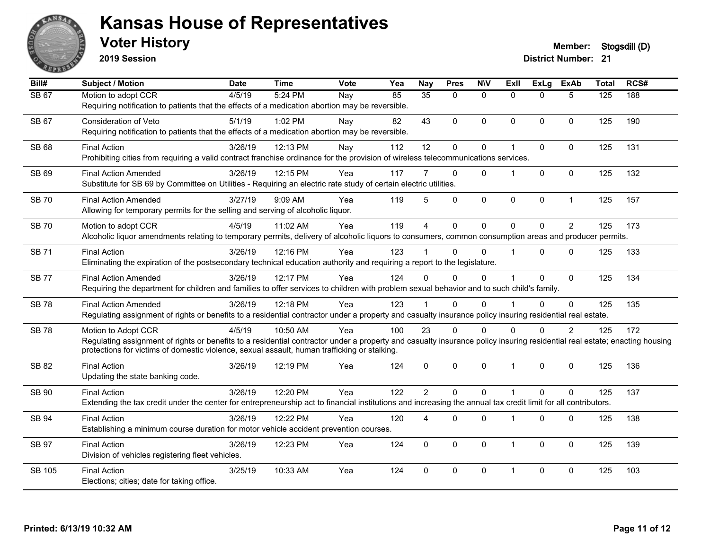

**2019 Session**

| Bill#         | <b>Subject / Motion</b>                                                                                                                                                                                                                                                                          | <b>Date</b> | <b>Time</b> | Vote | Yea | <b>Nay</b>      | <b>Pres</b> | <b>NIV</b>   | <b>Exll</b>    | <b>ExLg</b>  | <b>ExAb</b>    | <b>Total</b> | RCS# |
|---------------|--------------------------------------------------------------------------------------------------------------------------------------------------------------------------------------------------------------------------------------------------------------------------------------------------|-------------|-------------|------|-----|-----------------|-------------|--------------|----------------|--------------|----------------|--------------|------|
| <b>SB 67</b>  | Motion to adopt CCR<br>Requiring notification to patients that the effects of a medication abortion may be reversible.                                                                                                                                                                           | 4/5/19      | 5:24 PM     | Nay  | 85  | $\overline{35}$ | $\Omega$    | $\Omega$     | $\Omega$       | $\Omega$     | 5              | 125          | 188  |
| <b>SB 67</b>  | <b>Consideration of Veto</b><br>Requiring notification to patients that the effects of a medication abortion may be reversible.                                                                                                                                                                  | 5/1/19      | 1:02 PM     | Nay  | 82  | 43              | $\mathbf 0$ | $\mathbf{0}$ | $\Omega$       | $\Omega$     | $\Omega$       | 125          | 190  |
| SB 68         | <b>Final Action</b><br>Prohibiting cities from requiring a valid contract franchise ordinance for the provision of wireless telecommunications services.                                                                                                                                         | 3/26/19     | 12:13 PM    | Nay  | 112 | 12              | $\mathbf 0$ | $\pmb{0}$    | 1              | 0            | $\mathbf 0$    | 125          | 131  |
| SB 69         | <b>Final Action Amended</b><br>Substitute for SB 69 by Committee on Utilities - Requiring an electric rate study of certain electric utilities.                                                                                                                                                  | 3/26/19     | 12:15 PM    | Yea  | 117 |                 | $\Omega$    | $\Omega$     | 1              | $\Omega$     | $\Omega$       | 125          | 132  |
| <b>SB 70</b>  | <b>Final Action Amended</b><br>Allowing for temporary permits for the selling and serving of alcoholic liquor.                                                                                                                                                                                   | 3/27/19     | 9:09 AM     | Yea  | 119 | 5               | 0           | $\pmb{0}$    | $\mathbf 0$    | 0            | $\mathbf{1}$   | 125          | 157  |
| <b>SB 70</b>  | Motion to adopt CCR<br>Alcoholic liquor amendments relating to temporary permits, delivery of alcoholic liquors to consumers, common consumption areas and producer permits.                                                                                                                     | 4/5/19      | 11:02 AM    | Yea  | 119 | $\overline{4}$  | $\mathbf 0$ | $\mathbf 0$  | $\Omega$       | $\Omega$     | $\overline{2}$ | 125          | 173  |
| <b>SB 71</b>  | <b>Final Action</b><br>Eliminating the expiration of the postsecondary technical education authority and requiring a report to the legislature.                                                                                                                                                  | 3/26/19     | 12:16 PM    | Yea  | 123 |                 | $\Omega$    | $\mathbf{0}$ | 1              | $\Omega$     | $\Omega$       | 125          | 133  |
| <b>SB 77</b>  | <b>Final Action Amended</b><br>Requiring the department for children and families to offer services to children with problem sexual behavior and to such child's family.                                                                                                                         | 3/26/19     | 12:17 PM    | Yea  | 124 | $\Omega$        | $\Omega$    | $\Omega$     | 1              | 0            | $\Omega$       | 125          | 134  |
| <b>SB78</b>   | <b>Final Action Amended</b><br>Regulating assignment of rights or benefits to a residential contractor under a property and casualty insurance policy insuring residential real estate.                                                                                                          | 3/26/19     | 12:18 PM    | Yea  | 123 |                 | $\Omega$    | $\Omega$     |                | $\Omega$     | $\mathbf 0$    | 125          | 135  |
| <b>SB78</b>   | Motion to Adopt CCR<br>Regulating assignment of rights or benefits to a residential contractor under a property and casualty insurance policy insuring residential real estate; enacting housing<br>protections for victims of domestic violence, sexual assault, human trafficking or stalking. | 4/5/19      | 10:50 AM    | Yea  | 100 | 23              | $\Omega$    | $\mathbf{0}$ | O              | $\Omega$     | $\overline{2}$ | 125          | 172  |
| SB 82         | <b>Final Action</b><br>Updating the state banking code.                                                                                                                                                                                                                                          | 3/26/19     | 12:19 PM    | Yea  | 124 | $\Omega$        | $\Omega$    | $\mathbf{0}$ | $\mathbf{1}$   | $\mathbf{0}$ | $\Omega$       | 125          | 136  |
| <b>SB 90</b>  | <b>Final Action</b><br>Extending the tax credit under the center for entrepreneurship act to financial institutions and increasing the annual tax credit limit for all contributors.                                                                                                             | 3/26/19     | 12:20 PM    | Yea  | 122 | $\overline{2}$  | $\Omega$    | $\Omega$     | $\overline{1}$ | $\Omega$     | $\Omega$       | 125          | 137  |
| SB 94         | <b>Final Action</b><br>Establishing a minimum course duration for motor vehicle accident prevention courses.                                                                                                                                                                                     | 3/26/19     | 12:22 PM    | Yea  | 120 | 4               | $\Omega$    | $\mathbf{0}$ | 1              | $\mathbf{0}$ | $\Omega$       | 125          | 138  |
| <b>SB 97</b>  | <b>Final Action</b><br>Division of vehicles registering fleet vehicles.                                                                                                                                                                                                                          | 3/26/19     | 12:23 PM    | Yea  | 124 | $\mathbf{0}$    | $\Omega$    | $\mathbf{0}$ | 1              | $\Omega$     | $\Omega$       | 125          | 139  |
| <b>SB 105</b> | <b>Final Action</b><br>Elections; cities; date for taking office.                                                                                                                                                                                                                                | 3/25/19     | 10:33 AM    | Yea  | 124 | $\Omega$        | $\Omega$    | $\mathbf{0}$ | 1              | $\Omega$     | $\Omega$       | 125          | 103  |